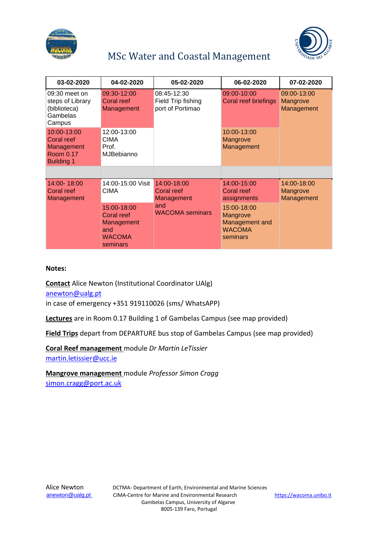



## MSc Water and Coastal Management

| 03-02-2020                                                                | 04-02-2020                                                                  | 05-02-2020                                                               | 06-02-2020                                                             | 07-02-2020                            |
|---------------------------------------------------------------------------|-----------------------------------------------------------------------------|--------------------------------------------------------------------------|------------------------------------------------------------------------|---------------------------------------|
| $09:30$ meet on<br>steps of Library<br>(biblioteca)<br>Gambelas<br>Campus | 09:30-12:00<br>Coral reef<br>Management                                     | 08:45-12:30<br>Field Trip fishing<br>port of Portimao                    | 09:00-10:00<br>Coral reef briefings                                    | 09:00-13:00<br>Mangrove<br>Management |
| 10:00-13:00<br>Coral reef<br>Management<br>Room 0.17<br><b>Building 1</b> | 12:00-13:00<br>CIMA<br>Prof.<br><b>MJBebianno</b>                           |                                                                          | 10:00-13:00<br>Mangrove<br>Management                                  |                                       |
|                                                                           |                                                                             |                                                                          |                                                                        |                                       |
| 14:00-18:00<br>Coral reef<br>Management                                   | 14:00-15:00 Visit<br>CIMA                                                   | 14:00-18:00<br>Coral reef<br>Management<br>and<br><b>WACOMA</b> seminars | 14:00-15:00<br>Coral reef<br>assignments                               | 14:00-18:00<br>Mangrove<br>Management |
|                                                                           | 15:00-18:00<br>Coral reef<br>Management<br>and<br><b>WACOMA</b><br>seminars |                                                                          | 15:00-18:00<br>Mangrove<br>Management and<br><b>WACOMA</b><br>seminars |                                       |

## **Notes:**

**Contact** Alice Newton (Institutional Coordinator UAlg) [anewton@ualg.pt](mailto:anewton@ualg.pt)

in case of emergency +351 919110026 (sms/ WhatsAPP)

**Lectures** are in Room 0.17 Building 1 of Gambelas Campus (see map provided)

**Field Trips** depart from DEPARTURE bus stop of Gambelas Campus (see map provided)

**Coral Reef management** module *Dr Martin LeTissier* [martin.letissier@ucc.ie](mailto:martin.letissier@ucc.ie)

**Mangrove management** module *Professor Simon Cragg* [simon.cragg@port.ac.uk](mailto:simon.cragg@port.ac.uk)